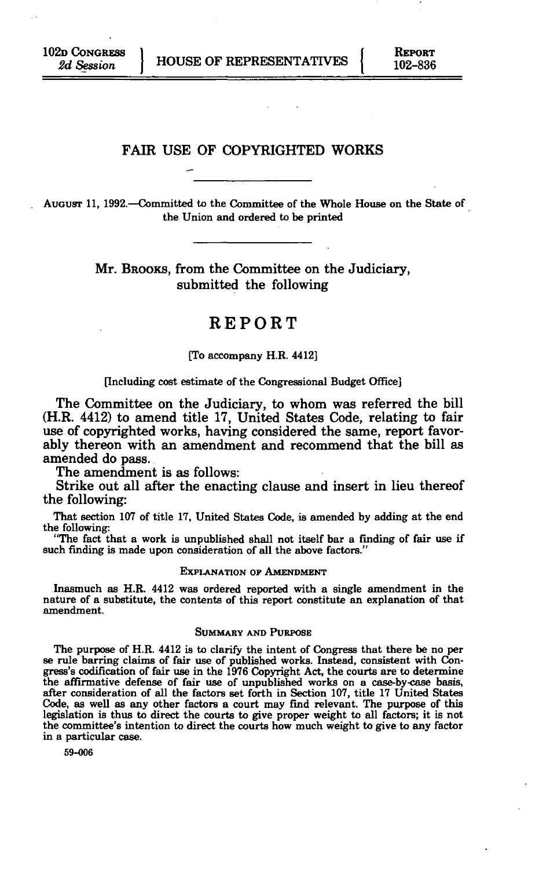*2d Session* J HOUSE OF REPRESENTATIVES [ 102-836

## FAIR USE OF COPYRIGHTED WORKS

**AUGUST 11, 1992.—Committed to the Committee of the Whole House on the State of the Union and ordered to be printed** 

> Mr. BROOKS, from the Committee on the Judiciary, submitted the following

# REPORT

#### **[To accompany H.R. 4412]**

#### **[Including cost estimate of the Congressional Budget Office]**

The Committee on the Judiciary, to whom was referred the bill (H.R. 4412) to amend title 17, United States Code, relating to fair use of copyrighted works, having considered the same, report favorably thereon with an amendment and recommend that the bill as amended do pass.

The amendment is as follows:

Strike out all after the enacting clause and insert in lieu thereof the following:

**That section 107 of title 17, United States Code, is amended by adding at the end the following:** 

**"The fact that a work is unpublished shall not itself bar a finding of fair use if such finding is made upon consideration of all the above factors."** 

#### **EXPLANATION OP AMENDMENT**

**Inasmuch as H.R. 4412 was ordered reported with a single amendment in the nature of a substitute, the contents of this report constitute an explanation of that amendment.** 

#### **SUMMARY AND PURPOSE**

**The purpose of H.R. 4412 is to clarify the intent of Congress that there be no per se rule barring claims of fair use of published works. Instead, consistent with Congress's codification of fair use in the 1976 Copyright Act, the courts are to determine the affirmative defense of fair use of unpublished works on a case-by-case basis, after consideration of all the factors set forth in Section 107, title 17 United States Code, as well as any other factors a court may find relevant. The purpose of this legislation is thus to direct the courts to give proper weight to all factors; it is not the committee's intention to direct the courts how much weight to give to any factor in a particular case.** 

**59-006**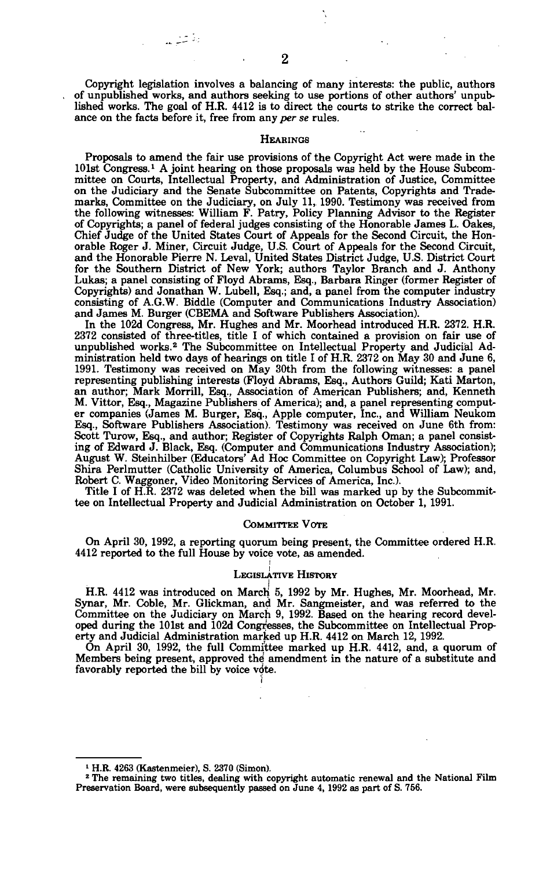**2** 

وفرثت

**Copyright legislation involves a balancing of many interests: the public, authors of unpublished works, and authors seeking to use portions of other authors' unpublished works. The goal of H.R. 4412 is to direct the courts to strike the correct balance on the facts before it, free from any** *per se* **rules.** 

#### **HEARINGS**

**Proposals to amend the fair use provisions of the Copyright Act were made in the 101st Congress.' A joint hearing on those proposals was held by the House Subcommittee on Courts, Intellectual Property, and Administration of Justice, Committee on the Judiciary and the Senate Subcommittee on Patents, Copyrights and Trademarks, Committee on the Judiciary, on July 11, 1990. Testimony was received from the following witnesses: William F. Patry, Policy Planning Advisor to the Register of Copyrights; a panel of federal judges consisting of the Honorable James L. Oakes, Chief Judge of the United States Court of Appeals for the Second Circuit, the Honorable Roger J. Miner, Circuit Judge, U.S. Court of Appeals for the Second Circuit, and the Honorable Pierre N. Leval, United States District Judge, U.S. District Court for the Southern District of New York; authors Taylor Branch and J. Anthony Lukas; a panel consisting of Floyd Abrams, Esq., Barbara Ringer (former Register of Copyrights) and Jonathan W. Lubell, Esq.; and, a panel from the computer industry consisting of A.G.W. Biddle (Computer and Communications Industry Association) and James M. Burger (CBEMA and Software Publishers Association).** 

**In the 102d Congress, Mr. Hughes and Mr. Moorhead introduced H.R. 2372. H.R. 2372 consisted of three-titles, title I of which contained a provision on fair use of unpublished works.<sup>2</sup> The Subcommittee on Intellectual Property and Judicial Administration held two days of hearings on title I of H.R. 2372 on May 30 and June 6, 1991. Testimony was received on May 30th from the following witnesses: a panel representing publishing interests (Floyd Abrams, Esq., Authors Guild; Kati Marton, an author; Mark Morrill, Esq., Association of American Publishers; and, Kenneth M. Vittor, Esq., Magazine Publishers of America); and, a panel representing computer companies (James M. Burger, Esq., Apple computer, Inc., and Wilham Neukom Esq., Software Publishers Association). Testimony was received on June 6th from: Scott Turow, Esq., and author; Register of Copyrights Ralph Oman; a panel consisting of Edward J. Black, Esq. (Computer and Communications Industry Association); August W. Steinhilber (Educators' Ad Hoc Committee on Copyright Law); Professor Shira Perlmutter (Catholic University of America, Columbus School of Law); and, Robert C. Waggoner, Video Monitoring Services of America, Inc.).** 

**Title I of H.R. 2372 was deleted when the bill was marked up by the Subcommittee on Intellectual Property and Judicial Administration on October 1, 1991.** 

#### **COMMITTEE VOTE**

**On April 30, 1992, a reporting quorum being present, the Committee ordered H.R. 4412 reported to the full House by voice vote, as amended.** 

#### **LEGISLATIVE HISTORY**

**H.R. 4412 was introduced on March 5, 1992 by Mr. Hughes, Mr. Moorhead, Mr. Synar, Mr. Coble, Mr. Glickman, and Mr. Sangmeister, and was referred to the Committee on the Judiciary on March 9, 1992. Based on the hearing record developed during the 101st and 102d Congresses, the Subcommittee on Intellectual Property and Judicial Administration marked up H.R. 4412 on March 12, 1992.** 

**On April 30, 1992, the full Committee marked up H.R. 4412, and, a quorum of Members being present, approved the! amendment in the nature of a substitute and favorably reported the bill by voice vote.** 

**I** 

**<sup>1</sup> H.R. 4263 (Kastenmeier), S. 2370 (Simon).** 

<sup>&</sup>lt;sup>2</sup> The remaining two titles, dealing with copyright automatic renewal and the National Film **Preservation Board, were subsequently passed on June 4, 1992 as part of S. 756.**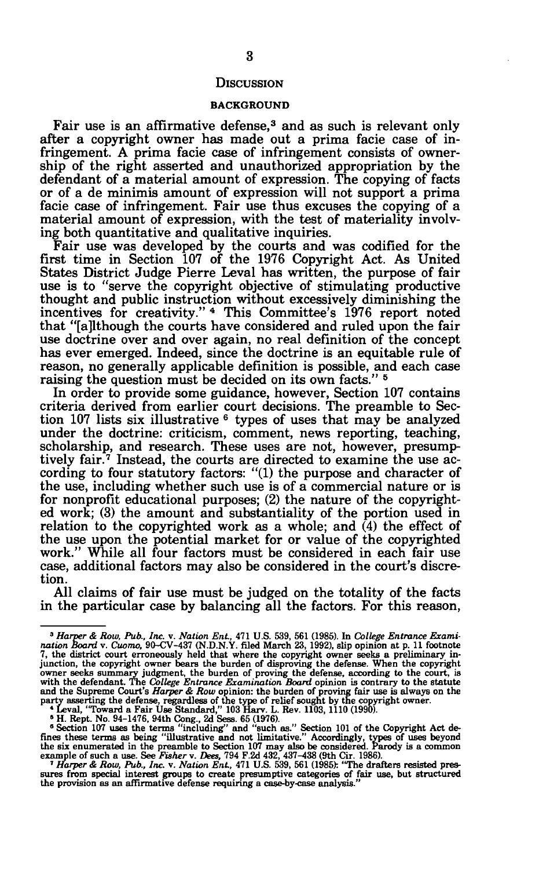### **DISCUSSION**

### BACKGROUND

Fair use is an affirmative defense,<sup>3</sup> and as such is relevant only after a copyright owner has made out a prima facie case of infringement. A prima facie case of infringement consists of ownership of the right asserted and unauthorized appropriation by the defendant of a material amount of expression. The copying of facts or of a de minimis amount of expression will not support a prima facie case of infringement. Fair use thus excuses the copying of a material amount of expression, with the test of materiality involving both quantitative and qualitative inquiries.

Fair use was developed by the courts and was codified for the first time in Section 107 of the 1976 Copyright Act. As United States District Judge Pierre Leval has written, the purpose of fair use is to "serve the copyright objective of stimulating productive thought and public instruction without excessively diminishing the incentives for creativity." <sup>4</sup> This Committee's 1976 report noted that "[although the courts have considered and ruled upon the fair use doctrine over and over again, no real definition of the concept has ever emerged. Indeed, since the doctrine is an equitable rule of reason, no generally applicable definition is possible, and each case raising the question must be decided on its own facts."<sup>5</sup>

In order to provide some guidance, however, Section 107 contains criteria derived from earlier court decisions. The preamble to Section 107 lists six illustrative <sup>6</sup> types of uses that may be analyzed under the doctrine: criticism, comment, news reporting, teaching, scholarship, and research. These uses are not, however, presumptively fair.<sup>7</sup> Instead, the courts are directed to examine the use according to four statutory factors: "(1) the purpose and character of the use, including whether such use is of a commercial nature or is for nonprofit educational purposes; (2) the nature of the copyrighted work; (3) the amount and substantiality of the portion used in relation to the copyrighted work as a whole; and (4) the effect of the use upon the potential market for or value of the copyrighted work." While all four factors must be considered in each fair use case, additional factors may also be considered in the court's discretion.

All claims of fair use must be judged on the totality of the facts in the particular case by balancing all the factors. For this reason,

<sup>3</sup>  *Harper & Row, Pub., Inc.* v. *Nation Ent,* 471 U.S. 539, 561 (1985). In *College Entrance Exami*nation Board v. Cionno, 90-CV-437 (N.D.N.Y. filed March 23, 1992), slip opinion at p. 11 footnote 7, the district court erroneously held that where the copyright owner seeks a preliminary incurrent pears the burden of dis

<sup>&</sup>lt;sup>4</sup> Leval, "Toward a Fair Use Standard," 103 Harv. L. Rev. 1103, 1110 (1990).<br>
<sup>4</sup> L. Rept. No. 94-1476, 94th Cong., 2d Sess. 65 (1976).<br>
<sup>5</sup> Section 107 uses the terms "including" and "such as." Section 101 of the Copyri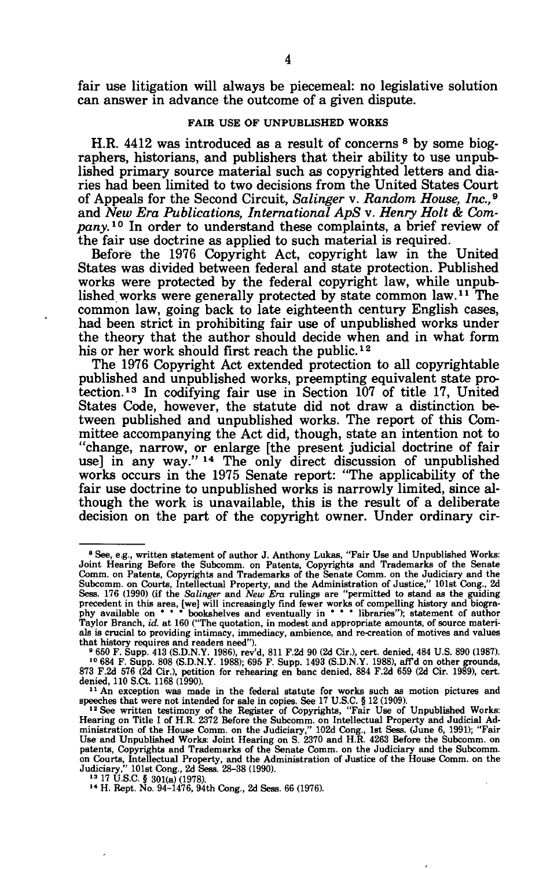fair use litigation will always be piecemeal: no legislative solution can answer in advance the outcome of a given dispute.

#### **FAIR USE OF UNPUBLISHED WORKS**

H.R. 4412 was introduced as a result of concerns <sup>8</sup> by some biographers, historians, and publishers that their ability to use unpublished primary source material such as copyrighted letters and diaries had been limited to two decisions from the United States Court of Appeals for the Second Circuit, *Salinger* v. *Random House, Inc.,*<sup>9</sup> and *New Era Publications, International ApS* v. *Henry Holt & Company. <sup>10</sup>* In order to understand these complaints, a brief review of the fair use doctrine as applied to such material is required.

Before the 1976 Copyright Act, copyright law in the United States was divided between federal and state protection. Published works were protected by the federal copyright law, while unpublished works were generally protected by state common law.<sup>11</sup> The common law, going back to late eighteenth century English cases, had been strict in prohibiting fair use of unpublished works under the theory that the author should decide when and in what form his or her work should first reach the public.<sup>12</sup>

The 1976 Copyright Act extended protection to all copyrightable published and unpublished works, preempting equivalent state protection.<sup>13</sup> In codifying fair use in Section 107 of title 17, United States Code, however, the statute did not draw a distinction between published and unpublished works. The report of this Committee accompanying the Act did, though, state an intention not to "change, narrow, or enlarge [the present judicial doctrine of fair use] in any way."<sup>14</sup> The only direct discussion of unpublished works occurs in the 1975 Senate report: "The applicability of the fair use doctrine to unpublished works is narrowly limited, since although the work is unavailable, this is the result of a deliberate decision on the part of the copyright owner. Under ordinary cir-

<sup>&</sup>lt;sup>8</sup> See, e.g., written statement of author J. Anthony Lukas, "Fair Use and Unpublished Works: Joint Hearing Before the Subcomm. on Patents, Copyrights and Trademarks of the Senate<br>Comm. on Patents, Copyrights and Trademarks of the Senate Comm. on Courts, Intellectual Property, and the Administration of Justice," 1 als is crucial to providing intimacy, immediacy, ambience, and re-creation of motives and values that history requires and readers need").

<sup>&</sup>lt;sup>9</sup> 650 F. Supp. 413 (S.D.N.Y. 1986), rev'd, 811 F.2d 90 (2d Cir.), cert. denied, 484 U.S. 890 (1987).<br><sup>10</sup> 684 F. Supp. 808 (S.D.N.Y. 1988); 695 F. Supp. 1493 (S.D.N.Y. 1988), afrd on other grounds, 873 F.2d 576 (2d Cir.) denied, 110 S.Ct. 1168 (1990).

<sup>&</sup>lt;sup>11</sup> An exception was made in the federal statute for works such as motion pictures and speeches that were not intended for sale in copies. See 17 U.S.C. § 12 (1909).<br><sup>12</sup> See written testimony of the Register of Copyrigh on Courts, Intellectual Property, and the Administration of Justice of the House Comm. on the Judiciary," 101st Cong., 2d Sess. 28-38 (1990).<br>Judiciary," 101st Cong., 2d Sess. 28-38 (1990).<br><sup>13</sup> 17 U.S.C. § 301(a) (1978).<br>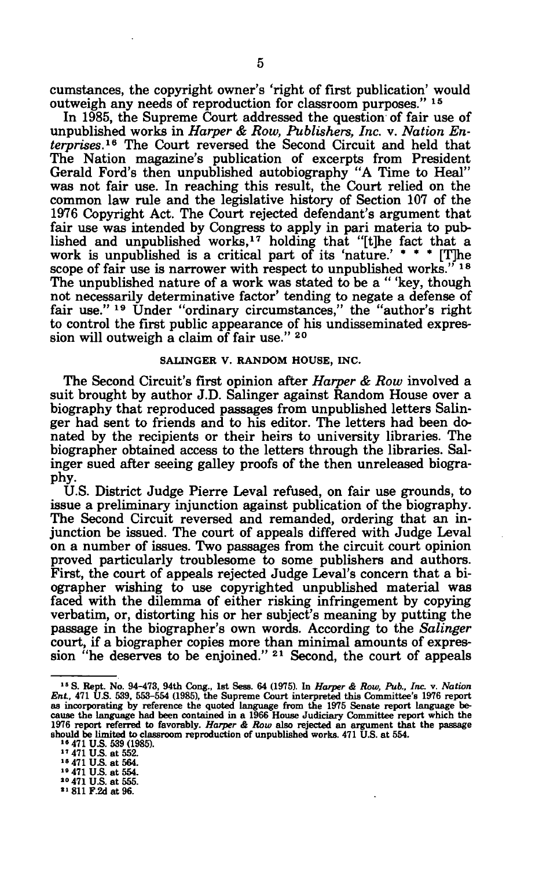cumstances, the copyright owner's 'right of first publication' would outweigh any needs of reproduction for classroom purposes." 15

In 1985, the Supreme Court addressed the question of fair use of unpublished works in *Harper & Row, Publishers, Inc.* v. *Nation Enterprises.<sup>16</sup>* The Court reversed the Second Circuit and held that The Nation magazine's publication of excerpts from President Gerald Ford's then unpublished autobiography "A Time to Heal" was not fair use. In reaching this result, the Court relied on the common law rule and the legislative history of Section 107 of the 1976 Copyright Act. The Court rejected defendant's argument that fair use was intended by Congress to apply in pari materia to published and unpublished works,<sup>17</sup> holding that "[t]he fact that a work is unpublished is a critical part of its 'nature.'  $* * * [T]$ he scope of fair use is narrower with respect to unpublished works."  $5^{18}$ The unpublished nature of a work was stated to be a " 'key, though not necessarily determinative factor' tending to negate a defense of fair use." 19 Under "ordinary circumstances," the "author's right to control the first public appearance of his undisseminated expression will outweigh a claim of fair use."  $20$ 

## **SALINGER V. RANDOM HOUSE, INC.**

The Second Circuit's first opinion after *Harper & Row* involved a suit brought by author J.D. Salinger against Random House over a biography that reproduced passages from unpublished letters Salinger had sent to friends and to his editor. The letters had been donated by the recipients or their heirs to university libraries. The biographer obtained access to the letters through the libraries. Salinger sued after seeing galley proofs of the then unreleased biography.

U.S. District Judge Pierre Leval refused, on fair use grounds, to issue a preliminary injunction against publication of the biography. The Second Circuit reversed and remanded, ordering that an injunction be issued. The court of appeals differed with Judge Leval on a number of issues. Two passages from the circuit court opinion proved particularly troublesome to some publishers and authors. First, the court of appeals rejected Judge Leval's concern that a biographer wishing to use copyrighted unpublished material was faced with the dilemma of either risking infringement by copying verbatim, or, distorting his or her subject's meaning by putting the passage in the biographer's own words. According to the *Salinger*  court, if a biographer copies more than minimal amounts of expression "he deserves to be enjoined."<sup>21</sup> Second, the court of appeals

" 811 **F.2d at** 96.

<sup>&</sup>lt;sup>15</sup> S. Rept. No. 94-473, 94th Cong., 1st Sess. 64 (1975). In *Harper & Row, Pub., Inc. v. Nation Ent.*, 471 U.S. 539, 553-554 (1985), the Supreme Court interpreted this Committee's 1976 report as incorporating by referen 1976 report referred to favorably. *Harper* & Row also rejected an argument that the passage should be limited to classroom reproduction of unpublished works. 471 U.S. at 554.<br><sup>16</sup> 471 U.S. 539 (1985).<br><sup>14</sup> 471 U.S. at 55

<sup>&</sup>gt;• 471 U.S. at 554. " 471 **U.S.** at 555.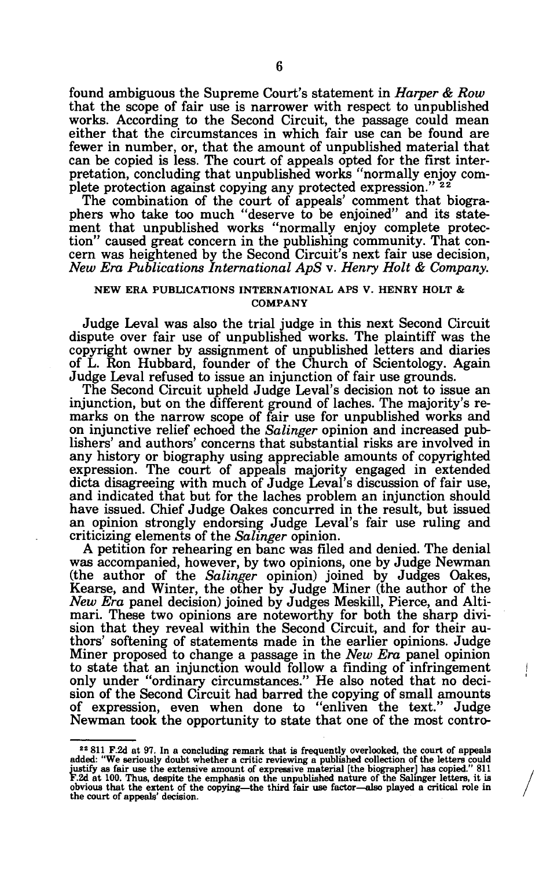found ambiguous the Supreme Court's statement in *Harper & Row*  that the scope of fair use is narrower with respect to unpublished works. According to the Second Circuit, the passage could mean either that the circumstances in which fair use can be found are fewer in number, or, that the amount of unpublished material that can be copied is less. The court of appeals opted for the first interpretation, concluding that unpublished works "normally enjoy complete protection against copying any protected expression."<sup>22</sup>

The combination of the court of appeals' comment that biographers who take too much "deserve to be enjoined" and its statement that unpublished works "normally enjoy complete protection" caused great concern in the publishing community. That concern was heightened by the Second Circuit's next fair use decision, *New Era Publications International ApS* v. *Henry Holt & Company.* 

## **NEW ERA PUBLICATIONS INTERNATIONAL APS V. HENRY HOLT & COMPANY**

Judge Leval was also the trial judge in this next Second Circuit dispute over fair use of unpublished works. The plaintiff was the copyright owner by assignment of unpublished letters and diaries of L. Ron Hubbard, founder of the Church of Scientology. Again Judge Leval refused to issue an injunction of fair use grounds.

The Second Circuit upheld Judge Leval's decision not to issue an injunction, but on the different ground of laches. The majority's remarks on the narrow scope of fair use for unpublished works and on injunctive relief echoed the *Salinger* opinion and increased publishers' and authors' concerns that substantial risks are involved in any history or biography using appreciable amounts of copyrighted expression. The court of appeals majority engaged in extended dicta disagreeing with much of Judge Leval's discussion of fair use, and indicated that but for the laches problem an injunction should have issued. Chief Judge Oakes concurred in the result, but issued an opinion strongly endorsing Judge Leval's fair use ruling and criticizing elements of the *Salinger* opinion.

A petition for rehearing en banc was filed and denied. The denial was accompanied, however, by two opinions, one by Judge Newman (the author of the *Salinger* opinion) joined by Judges Oakes, Kearse, and Winter, the other by Judge Miner (the author of the *New Era* panel decision) joined by Judges Meskill, Pierce, and Altimari. These two opinions are noteworthy for both the sharp division that they reveal within the Second Circuit, and for their authors' softening of statements made in the earlier opinions. Judge Miner proposed to change a passage in the *New Era* panel opinion to state that an injunction would follow a finding of infringement only under "ordinary circumstances." He also noted that no decision of the Second Circuit had barred the copying of small amounts of expression, even when done to "enliven the text." Judge Newman took the opportunity to state that one of the most contro-

 $22$  811 F.2d at 97. In a concluding remark that is frequently overlooked, the court of appeals added: "We seriously doubt whether a critic reviewing a published collection of the letters could justify as fair use the ext **F.2d at 100. Thus, despite the emphasis on the unpublished nature of the Salinger letters, it is obvious that the extent of the copying—the third fair use factor—also played a critical role in the court of appeals' decision.**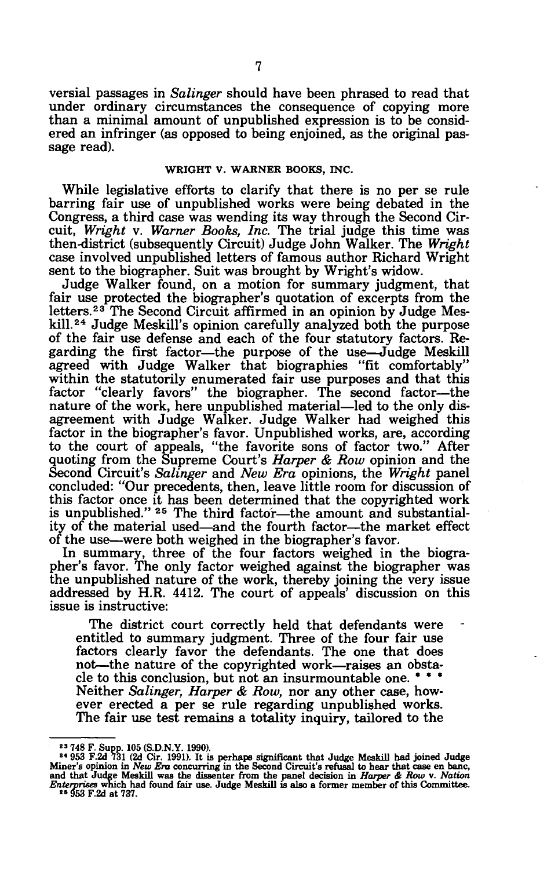versial passages in *Salinger* should have been phrased to read that under ordinary circumstances the consequence of copying more than a minimal amount of unpublished expression is to be considered an infringer (as opposed to being enjoined, as the original passage read).

### **WEIGHT V. WARNER BOOKS, INC.**

While legislative efforts to clarify that there is no per se rule barring fair use of unpublished works were being debated in the Congress, a third case was wending its way through the Second Circuit, *Wright* v. *Warner Books, Inc.* The trial judge this time was then-district (subsequently Circuit) Judge John Walker. The *Wright*  case involved unpublished letters of famous author Richard Wright sent to the biographer. Suit was brought by Wright's widow.

Judge Walker found, on a motion for summary judgment, that fair use protected the biographer's quotation of excerpts from the letters.<sup>23</sup> The Second Circuit affirmed in an opinion by Judge Meskill.<sup>24</sup> Judge Meskill's opinion carefully analyzed both the purpose of the fair use defense and each of the four statutory factors. Regarding the first factor—the purpose of the use—Judge Meskill agreed with Judge Walker that biographies "fit comfortably" within the statutorily enumerated fair use purposes and that this factor "clearly favors" the biographer. The second factor—the nature of the work, here unpublished material—led to the only disagreement with Judge Walker. Judge Walker had weighed this factor in the biographer's favor. Unpublished works, are, according to the court of appeals, "the favorite sons of factor two." After quoting from the Supreme Court's *Harper & Row* opinion and the Second Circuit's *Salinger* and *New Era* opinions, the *Wright* panel concluded: "Our precedents, then, leave little room for discussion of this factor once it has been determined that the copyrighted work ing factor once to has been determined that the copyrighted work ity of the material used—and the fourth factor—the market effect of the use—were both weighed in the biographer's favor.

In summary, three of the four factors weighed in the biographer's favor. The only factor weighed against the biographer was the unpublished nature of the work, thereby joining the very issue addressed by H.R. 4412. The court of appeals' discussion on this issue is instructive:

The district court correctly held that defendants were entitled to summary judgment. Three of the four fair use factors clearly favor the defendants. The one that does not—the nature of the copyrighted work—raises an obstacle to this conclusion, but not an insurmountable one. \* \* \* Neither *Salinger, Harper & Row,* nor any other case, however erected a per se rule regarding unpublished works. The fair use test remains a totality inquiry, tailored to the

<sup>&</sup>lt;sup>23</sup> 748 F. Supp. 105 (S.D.N.Y. 1990).<br><sup>24</sup> 953 F.2d 731 (2d Cir. 1991). It is perhaps significant that Judge Meskill had joined Judge<br>Miner's opinion in *New Era* concurring in the Second Circuit's refusal to hear that c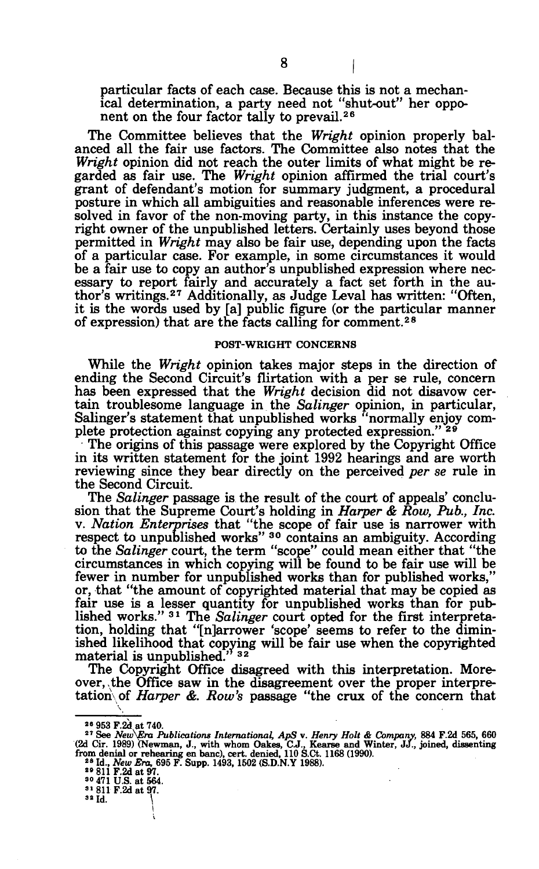particular facts of each case. Because this is not a mechanical determination, a party need not "shut-out" her opponent on the four factor tally to prevail.<sup>26</sup>

The Committee believes that the *Wright* opinion properly balanced all the fair use factors. The Committee also notes that the *Wright* opinion did not reach the outer limits of what might be regarded as fair use. The *Wright* opinion affirmed the trial court's grant of defendant's motion for summary judgment, a procedural posture in which all ambiguities and reasonable inferences were resolved in favor of the non-moving party, in this instance the copyright owner of the unpublished letters. Certainly uses beyond those permitted in *Wright* may also be fair use, depending upon the facts of a particular case. For example, in some circumstances it would be a fair use to copy an author's unpublished expression where necessary to report fairly and accurately a fact set forth in the auessary to report railly and accurately a ract set forth in the au-<br>thor's writings.<sup>27</sup> Additionally, as Judge Leval has written: "Often, it is the words used by [a] public figure (or the particular manner of expression) that are the facts calling for comment.<sup>28</sup>

#### **POST-WRIGHT CONCERNS**

While the *Wright* opinion takes major steps in the direction of ending the Second Circuit's flirtation with a per se rule, concern has been expressed that the *Wright* decision did not disavow certain troublesome language in the *Salinger* opinion, in particular, Salinger's statement that unpublished works "normally enjoy complete protection against copying any protected expression."<sup>29</sup>

The origins of this passage were explored by the Copyright Office in its written statement for the joint 1992 hearings and are worth reviewing since they bear directly on the perceived *per se* rule in the Second Circuit.

The *Salinger* passage is the result of the court of appeals' conclusion that the Supreme Court's holding in *Harper & Row, Pub., Inc.*  v. *Nation Enterprises* that "the scope of fair use is narrower with respect to unpublished works<sup>"</sup> <sup>30</sup> contains an ambiguity. According to the *Salinger* court, the term "scope" could mean either that "the circumstances in which copying will be found to be fair use will be fewer in number for unpublished works than for published works," or, that "the amount of copyrighted material that may be copied as fair use is a lesser quantity for unpublished works than for published works." 3 1 The *Salinger* court opted for the first interpretation, holding that "[n]arrower 'scope' seems to refer to the diminished likelihood that copying will be fair use when the copyrighted  $\frac{1}{2}$  material is unpublished.<sup>"</sup>  $\frac{32}{2}$ 

The Copyright Office disagreed with this interpretation. Moreover, the Office saw in the disagreement over the proper interpretation of *Harper &. Row's* passage "the crux of the concern that

<sup>&</sup>lt;sup>26</sup> 953 F.2d at 740.

<sup>&</sup>lt;sup>26</sup> 953 F.2d at 740.<br>
<sup>27</sup> See *New Era Publications International*, *ApS* v. *Henry Holt & Company*, 884 F.2d 565, 660<br>
(2d Cir. 1989) (Newman, J., with whom Oakes, C.J., Kearse and Winter, JJ., joined, dissenting<br>
from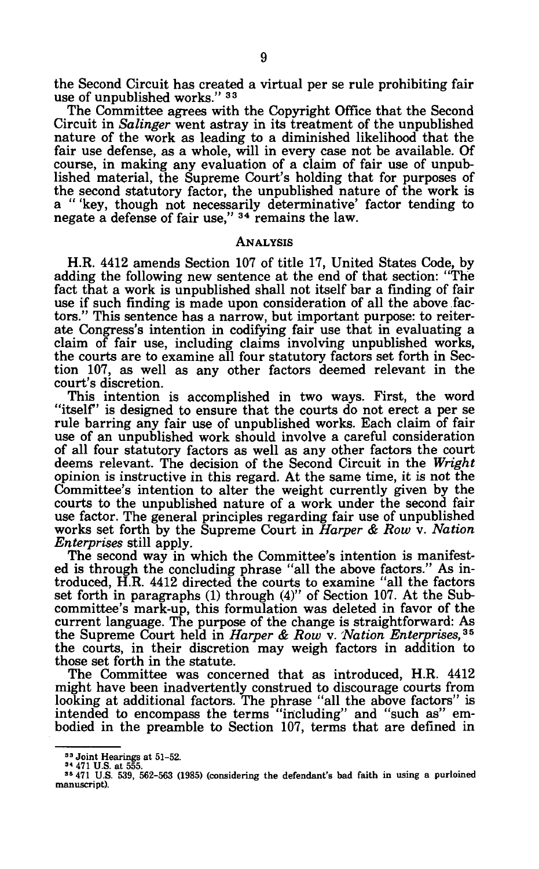the Second Circuit has created a virtual per se rule prohibiting fair use of unpublished works." 33

The Committee agrees with the Copyright Office that the Second Circuit in *Salinger* went astray in its treatment of the unpublished nature of the work as leading to a diminished likelihood that the fair use defense, as a whole, will in every case not be available. Of course, in making any evaluation of a claim of fair use of unpublished material, the Supreme Court's holding that for purposes of the second statutory factor, the unpublished nature of the work is a " 'key, though not necessarily determinative' factor tending to negate a defense of fair use," 34 remains the law.

## ANALYSIS

H.R. 4412 amends Section 107 of title 17, United States Code, by adding the following new sentence at the end of that section: "The fact that a work is unpublished shall not itself bar a finding of fair use if such finding is made upon consideration of all the above factors." This sentence has a narrow, but important purpose: to reiterate Congress's intention in codifying fair use that in evaluating a claim of fair use, including claims involving unpublished works, the courts are to examine all four statutory factors set forth in Section 107, as well as any other factors deemed relevant in the court's discretion.

This intention is accomplished in two ways. First, the word "itself" is designed to ensure that the courts do not erect a per se rule barring any fair use of unpublished works. Each claim of fair use of an unpublished work should involve a careful consideration of all four statutory factors as well as any other factors the court deems relevant. The decision of the Second Circuit in the *Wright*  opinion is instructive in this regard. At the same time, it is not the Committee's intention to alter the weight currently given by the courts to the unpublished nature of a work under the second fair use factor. The general principles regarding fair use of unpublished works set forth by the Supreme Court in *Harper & Row* v. *Nation Enterprises* still apply.

The second way in which the Committee's intention is manifested is through the concluding phrase "all the above factors." As introduced, H.R. 4412 directed the courts to examine "all the factors set forth in paragraphs (1) through (4)" of Section 107. At the Subcommittee's mark-up, this formulation was deleted in favor of the current language. The purpose of the change is straightforward: As the Supreme Court held in *Harper & Row* v. *'Nation Enterprises,<sup>35</sup>* the courts, in their discretion may weigh factors in addition to those set forth in the statute.

The Committee was concerned that as introduced, H.R. 4412 might have been inadvertently construed to discourage courts from looking at additional factors. The phrase "all the above factors" is intended to encompass the terms "including" and "such as" embodied in the preamble to Section 107, terms that are defined in

<sup>33</sup> Joint Hearings at 51-52. <sup>34</sup> 471 U.S. at 555. <sup>35</sup> 471 U.S. 539, 562-563 (1985) (considering the defendant's bad faith in using a purloined manuscript).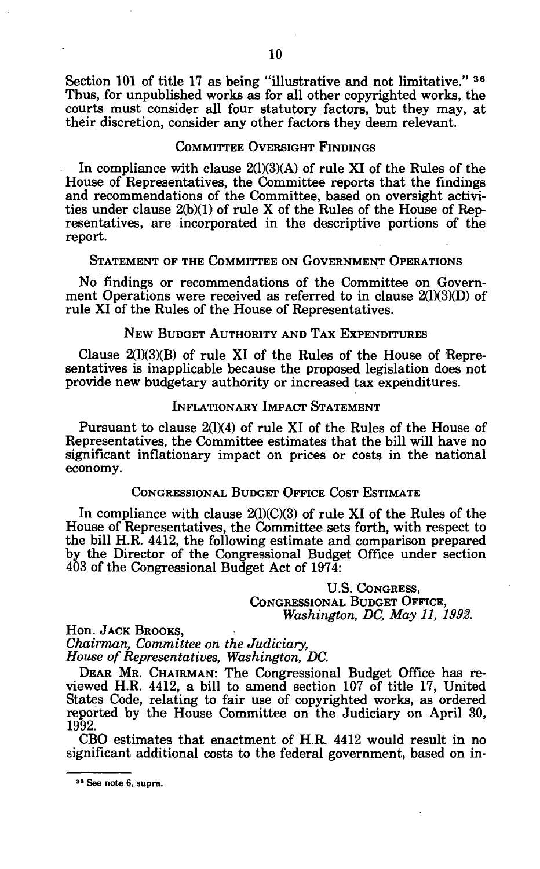Section 101 of title 17 as being "illustrative and not limitative." 36 Thus, for unpublished works as for all other copyrighted works, the courts must consider all four statutory factors, but they may, at their discretion, consider any other factors they deem relevant.

# COMMITTEE OVERSIGHT FINDINGS

In compliance with clause  $2(1)(3)(A)$  of rule XI of the Rules of the House of Representatives, the Committee reports that the findings and recommendations of the Committee, based on oversight activities under clause 2(b)(1) of rule X of the Rules of the House of Representatives, are incorporated in the descriptive portions of the report.

## STATEMENT OF THE COMMITTEE ON GOVERNMENT OPERATIONS

No findings or recommendations of the Committee on Government Operations were received as referred to in clause 2(1)(3)(D) of rule XI of the Rules of the House of Representatives.

## NEW BUDGET AUTHORITY AND TAX EXPENDITURES

Clause  $2(1)(3)(B)$  of rule XI of the Rules of the House of Representatives is inapplicable because the proposed legislation does not provide new budgetary authority or increased tax expenditures.

## INFLATIONARY IMPACT STATEMENT

Pursuant to clause 2(1)(4) of rule XI of the Rules of the House of Representatives, the Committee estimates that the bill will have no significant inflationary impact on prices or costs in the national economy.

## CONGRESSIONAL BUDGET OFFICE COST ESTIMATE

In compliance with clause  $2(1)(C)(3)$  of rule XI of the Rules of the House of Representatives, the Committee sets forth, with respect to the bill H.R. 4412, the following estimate and comparison prepared by the Director of the Congressional Budget Office under section 403 of the Congressional Budget Act of 1974:

> U.S. CONGRESS, CONGRESSIONAL BUDGET OFFICE, *Washington, DC, May 11, 1992.*

Hon. JACK BROOKS, *Chairman, Committee on the Judiciary, House of Representatives, Washington, DC.* 

DEAR MR. CHAIRMAN: The Congressional Budget Office has reviewed H.R. 4412, a bill to amend section 107 of title 17, United States Code, relating to fair use of copyrighted works, as ordered reported by the House Committee on the Judiciary on April 30, 1992.

CBO estimates that enactment of H.R. 4412 would result in no significant additional costs to the federal government, based on in-

<sup>38</sup> See note 6, supra.